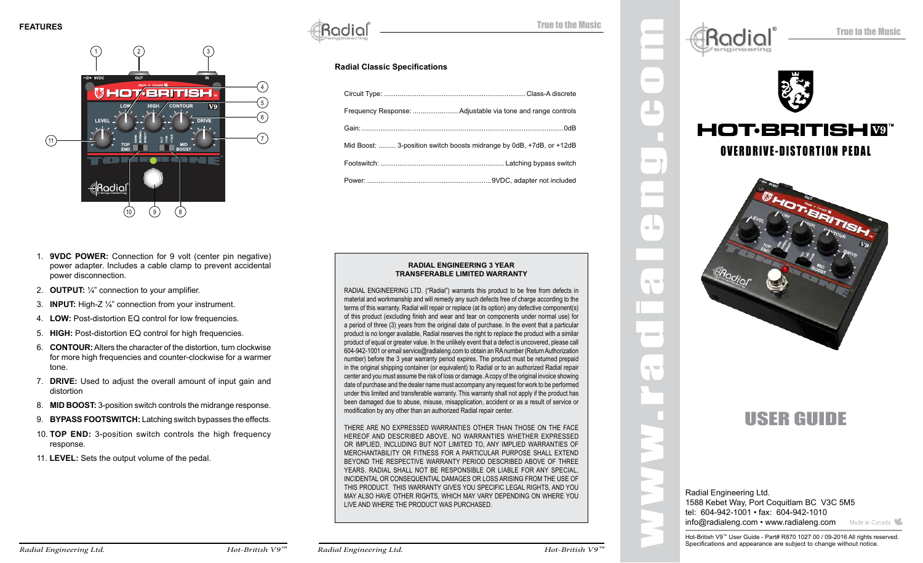

 $\operatorname{Radial}$   $\blacksquare$ 

#### **Radial Classic Specifications**

| Mid Boost:  3-position switch boosts midrange by 0dB, +7dB, or +12dB |
|----------------------------------------------------------------------|
|                                                                      |
|                                                                      |

#### **RADIAL ENGINEERING 3 YEAR TRANSFERABLE LIMITED WARRANTY**

RADIAL ENGINEERING LTD. ("Radial") warrants this product to be free from defects in material and workmanship and will remedy any such defects free of charge according to the terms of this warranty. Radial will repair or replace (at its option) any defective component(s) of this product (excluding finish and wear and tear on components under normal use) for a period of three (3) years from the original date of purchase. In the event that a particular product is no longer available, Radial reserves the right to replace the product with a similar product of equal or greater value. In the unlikely event that a defect is uncovered, please call 604-942-1001 or email service@radialeng.com to obtain an RA number (Return Authorization number) before the 3 year warranty period expires. The product must be returned prepaid in the original shipping container (or equivalent) to Radial or to an authorized Radial repair center and you must assume the risk of loss or damage. A copy of the original invoice showing date of purchase and the dealer name must accompany any request for work to be performed under this limited and transferable warranty. This warranty shall not apply if the product has been damaged due to abuse, misuse, misapplication, accident or as a result of service or modification by any other than an authorized Radial repair center.

THERE ARE NO EXPRESSED WARRANTIES OTHER THAN THOSE ON THE FACE HEREOF AND DESCRIBED ABOVE. NO WARRANTIES WHETHER EXPRESSED OR IMPLIED, INCLUDING BUT NOT LIMITED TO, ANY IMPLIED WARRANTIES OF MERCHANTABILITY OR FITNESS FOR A PARTICULAR PURPOSE SHALL EXTEND BEYOND THE RESPECTIVE WARRANTY PERIOD DESCRIBED ABOVE OF THREE YEARS. RADIAL SHALL NOT BE RESPONSIBLE OR LIABLE FOR ANY SPECIAL, INCIDENTAL OR CONSEQUENTIAL DAMAGES OR LOSS ARISING FROM THE USE OF THIS PRODUCT. THIS WARRANTY GIVES YOU SPECIFIC LEGAL RIGHTS, AND YOU MAY ALSO HAVE OTHER RIGHTS, WHICH MAY VARY DEPENDING ON WHERE YOU LIVE AND WHERE THE PRODUCT WAS PURCHASED.



 $\sim$ 

 $\blacksquare$ 

a la

 $\blacksquare$ 

 $\sim$ 

 $\blacksquare$ 



# **HOT:BRITISHM** OVERDRIVE-DISTORTION PEDAL



USER GUIDE

Radial Engineering Ltd. 1588 Kebet Way, Port Coquitlam BC V3C 5M5 tel: 604-942-1001 • fax: 604-942-1010 info@radialeng.com • www.radialeng.com Made in Canada

1. **9VDC POWER:** Connection for 9 volt (center pin negative) power adapter. Includes a cable clamp to prevent accidental power disconnection.

- 2. **OUTPUT:** ¼" connection to your amplifier.
- 3. **INPUT:** High-Z ¼" connection from your instrument.
- 4. **Low:** Post-distortion EQ control for low frequencies.
- 5. **High:** Post-distortion EQ control for high frequencies.
- 6. **Contour:** Alters the character of the distortion, turn clockwise for more high frequencies and counter-clockwise for a warmer tone.
- 7. **Drive:** Used to adjust the overall amount of input gain and distortion
- 8. **MID BOOST:** 3-position switch controls the midrange response.
- 9. **BYPASS FOOTSWITCH:** Latching switch bypasses the effects.
- 10. **TOP END:** 3-position switch controls the high frequency response.
- 11. **LEVEL:** Sets the output volume of the pedal.

Hot-British V9™ User Guide - Part# R870 1027 00 / 09-2016 All rights reserved. Specifications and appearance are subject to change without notice.